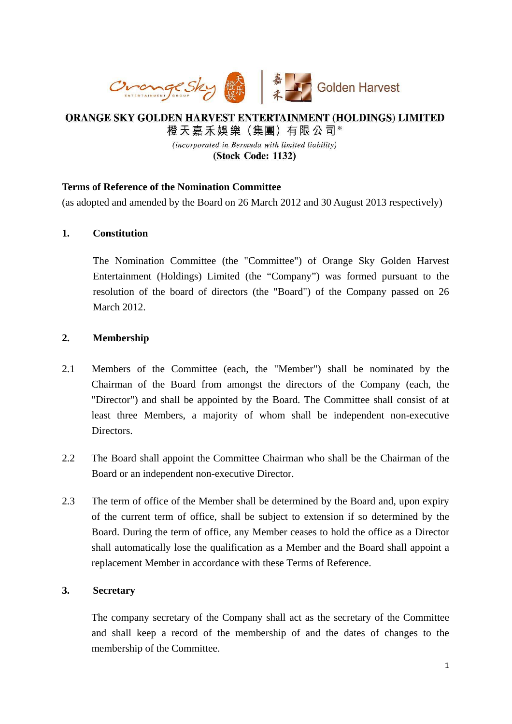

# ORANGE SKY GOLDEN HARVEST ENTERTAINMENT (HOLDINGS) LIMITED 橙天嘉禾娛樂 (集團) 有限公司\* (incorporated in Bermuda with limited liability)

(Stock Code: 1132)

# **Terms of Reference of the Nomination Committee**

(as adopted and amended by the Board on 26 March 2012 and 30 August 2013 respectively)

# **1. Constitution**

The Nomination Committee (the "Committee") of Orange Sky Golden Harvest Entertainment (Holdings) Limited (the "Company") was formed pursuant to the resolution of the board of directors (the "Board") of the Company passed on 26 March 2012.

# **2. Membership**

- 2.1 Members of the Committee (each, the "Member") shall be nominated by the Chairman of the Board from amongst the directors of the Company (each, the "Director") and shall be appointed by the Board. The Committee shall consist of at least three Members, a majority of whom shall be independent non-executive Directors.
- 2.2 The Board shall appoint the Committee Chairman who shall be the Chairman of the Board or an independent non-executive Director.
- 2.3 The term of office of the Member shall be determined by the Board and, upon expiry of the current term of office, shall be subject to extension if so determined by the Board. During the term of office, any Member ceases to hold the office as a Director shall automatically lose the qualification as a Member and the Board shall appoint a replacement Member in accordance with these Terms of Reference.

# **3. Secretary**

The company secretary of the Company shall act as the secretary of the Committee and shall keep a record of the membership of and the dates of changes to the membership of the Committee.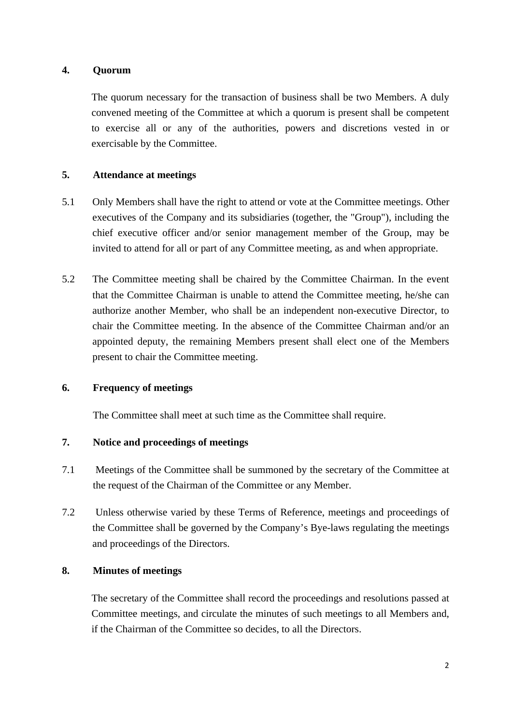### **4. Quorum**

The quorum necessary for the transaction of business shall be two Members. A duly convened meeting of the Committee at which a quorum is present shall be competent to exercise all or any of the authorities, powers and discretions vested in or exercisable by the Committee.

## **5. Attendance at meetings**

- 5.1 Only Members shall have the right to attend or vote at the Committee meetings. Other executives of the Company and its subsidiaries (together, the "Group"), including the chief executive officer and/or senior management member of the Group, may be invited to attend for all or part of any Committee meeting, as and when appropriate.
- 5.2 The Committee meeting shall be chaired by the Committee Chairman. In the event that the Committee Chairman is unable to attend the Committee meeting, he/she can authorize another Member, who shall be an independent non-executive Director, to chair the Committee meeting. In the absence of the Committee Chairman and/or an appointed deputy, the remaining Members present shall elect one of the Members present to chair the Committee meeting.

#### **6. Frequency of meetings**

The Committee shall meet at such time as the Committee shall require.

### **7. Notice and proceedings of meetings**

- 7.1 Meetings of the Committee shall be summoned by the secretary of the Committee at the request of the Chairman of the Committee or any Member.
- 7.2 Unless otherwise varied by these Terms of Reference, meetings and proceedings of the Committee shall be governed by the Company's Bye-laws regulating the meetings and proceedings of the Directors.

### **8. Minutes of meetings**

The secretary of the Committee shall record the proceedings and resolutions passed at Committee meetings, and circulate the minutes of such meetings to all Members and, if the Chairman of the Committee so decides, to all the Directors.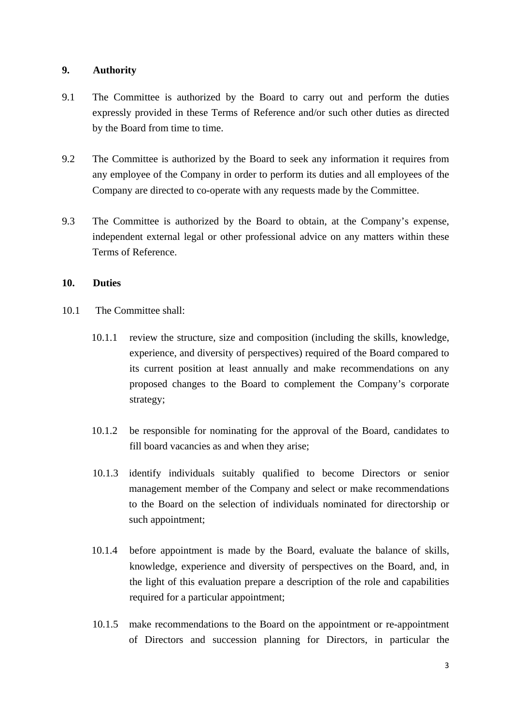### **9. Authority**

- 9.1 The Committee is authorized by the Board to carry out and perform the duties expressly provided in these Terms of Reference and/or such other duties as directed by the Board from time to time.
- 9.2 The Committee is authorized by the Board to seek any information it requires from any employee of the Company in order to perform its duties and all employees of the Company are directed to co-operate with any requests made by the Committee.
- 9.3 The Committee is authorized by the Board to obtain, at the Company's expense, independent external legal or other professional advice on any matters within these Terms of Reference.

#### **10. Duties**

- 10.1 The Committee shall:
	- 10.1.1 review the structure, size and composition (including the skills, knowledge, experience, and diversity of perspectives) required of the Board compared to its current position at least annually and make recommendations on any proposed changes to the Board to complement the Company's corporate strategy;
	- 10.1.2 be responsible for nominating for the approval of the Board, candidates to fill board vacancies as and when they arise;
	- 10.1.3 identify individuals suitably qualified to become Directors or senior management member of the Company and select or make recommendations to the Board on the selection of individuals nominated for directorship or such appointment;
	- 10.1.4 before appointment is made by the Board, evaluate the balance of skills, knowledge, experience and diversity of perspectives on the Board, and, in the light of this evaluation prepare a description of the role and capabilities required for a particular appointment;
	- 10.1.5 make recommendations to the Board on the appointment or re-appointment of Directors and succession planning for Directors, in particular the